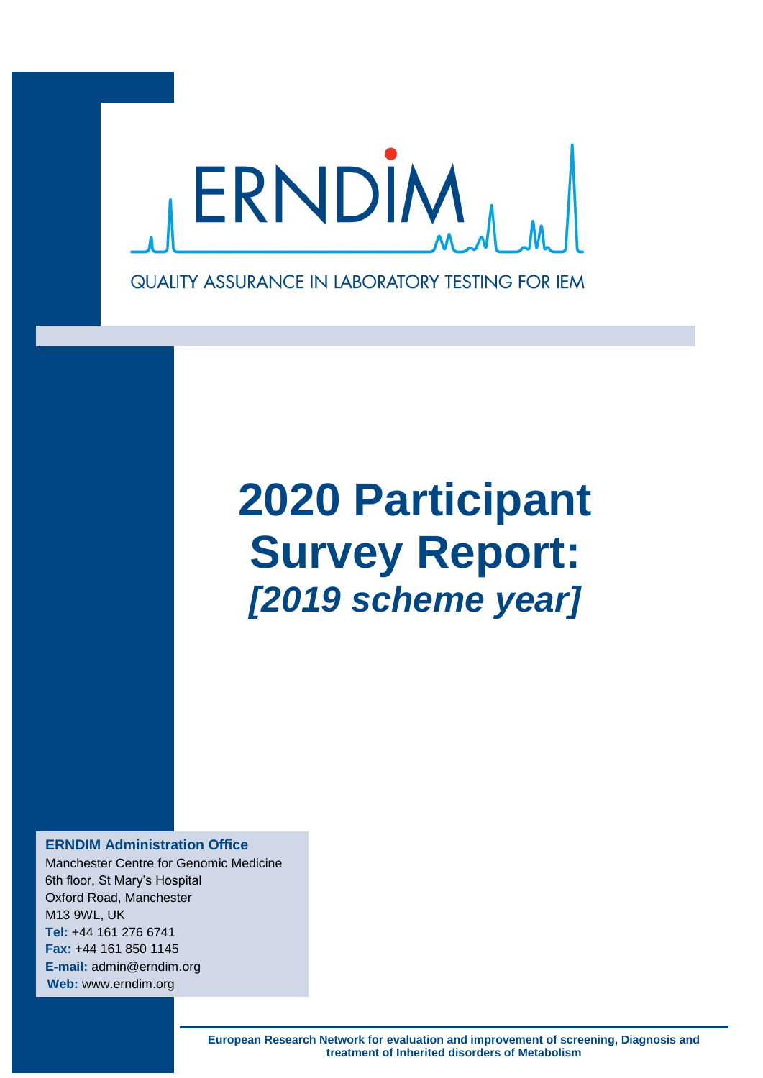

# **2020 Participant Survey Report:** *[2019 scheme year]*

**ERNDIM Administration Office**

Manchester Centre for Genomic Medicine 6th floor, St Mary's Hospital Oxford Road, Manchester M13 9WL, UK **Tel:** +44 161 276 6741 **Fax:** +44 161 850 1145 **E-mail:** admin@erndim.org **Web:** www.erndim.org

> **European Research Network for evaluation and improvement of screening, Diagnosis and treatment of Inherited disorders of Metabolism**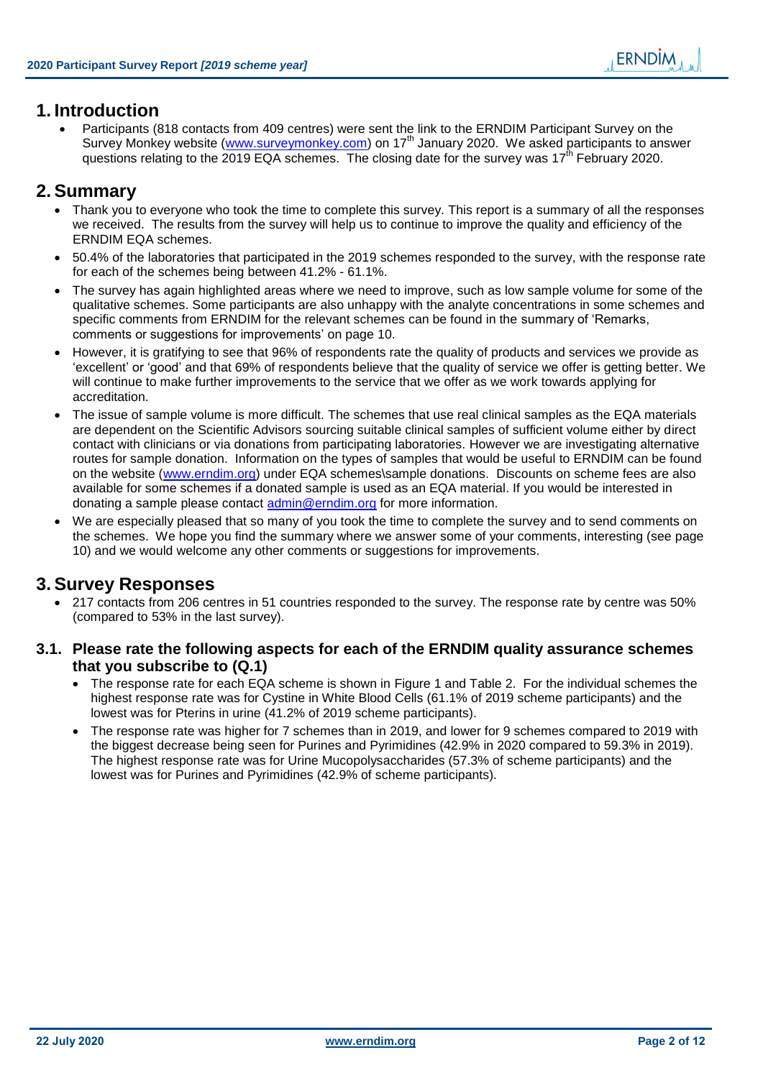# **1. Introduction**

 Participants (818 contacts from 409 centres) were sent the link to the ERNDIM Participant Survey on the Survey Monkey website [\(www.surveymonkey.com\)](http://www.surveymonkey.com/) on 17<sup>th</sup> January 2020. We asked participants to answer questions relating to the 2019 EQA schemes. The closing date for the survey was 17<sup>th</sup> February 2020.

# **2. Summary**

- Thank you to everyone who took the time to complete this survey. This report is a summary of all the responses we received. The results from the survey will help us to continue to improve the quality and efficiency of the ERNDIM EQA schemes.
- 50.4% of the laboratories that participated in the 2019 schemes responded to the survey, with the response rate for each of the schemes being between 41.2% - 61.1%.
- The survey has again highlighted areas where we need to improve, such as low sample volume for some of the qualitative schemes. Some participants are also unhappy with the analyte concentrations in some schemes and specific comments from ERNDIM for the relevant schemes can be found in the summary of 'Remarks, comments or suggestions for improvements' on page [10.](#page-9-0)
- However, it is gratifying to see that 96% of respondents rate the quality of products and services we provide as 'excellent' or 'good' and that 69% of respondents believe that the quality of service we offer is getting better. We will continue to make further improvements to the service that we offer as we work towards applying for accreditation.
- The issue of sample volume is more difficult. The schemes that use real clinical samples as the EQA materials are dependent on the Scientific Advisors sourcing suitable clinical samples of sufficient volume either by direct contact with clinicians or via donations from participating laboratories. However we are investigating alternative routes for sample donation. Information on the types of samples that would be useful to ERNDIM can be found on the website [\(www.erndim.org\)](http://www.erndim.org/) under EQA schemes\sample donations. Discounts on scheme fees are also available for some schemes if a donated sample is used as an EQA material. If you would be interested in donating a sample please contact [admin@erndim.org](mailto:admin@erndim.org) for more information.
- We are especially pleased that so many of you took the time to complete the survey and to send comments on the schemes. We hope you find the summary where we answer some of your comments, interesting (see page [10\)](#page-9-0) and we would welcome any other comments or suggestions for improvements.

# **3. Survey Responses**

- 217 contacts from 206 centres in 51 countries responded to the survey. The response rate by centre was 50% (compared to 53% in the last survey).
- **3.1. Please rate the following aspects for each of the ERNDIM quality assurance schemes that you subscribe to (Q.1)**
	- The response rate for each EQA scheme is shown in Figure 1 and Table 2. For the individual schemes the highest response rate was for Cystine in White Blood Cells (61.1% of 2019 scheme participants) and the lowest was for Pterins in urine (41.2% of 2019 scheme participants).
	- The response rate was higher for 7 schemes than in 2019, and lower for 9 schemes compared to 2019 with the biggest decrease being seen for Purines and Pyrimidines (42.9% in 2020 compared to 59.3% in 2019). The highest response rate was for Urine Mucopolysaccharides (57.3% of scheme participants) and the lowest was for Purines and Pyrimidines (42.9% of scheme participants).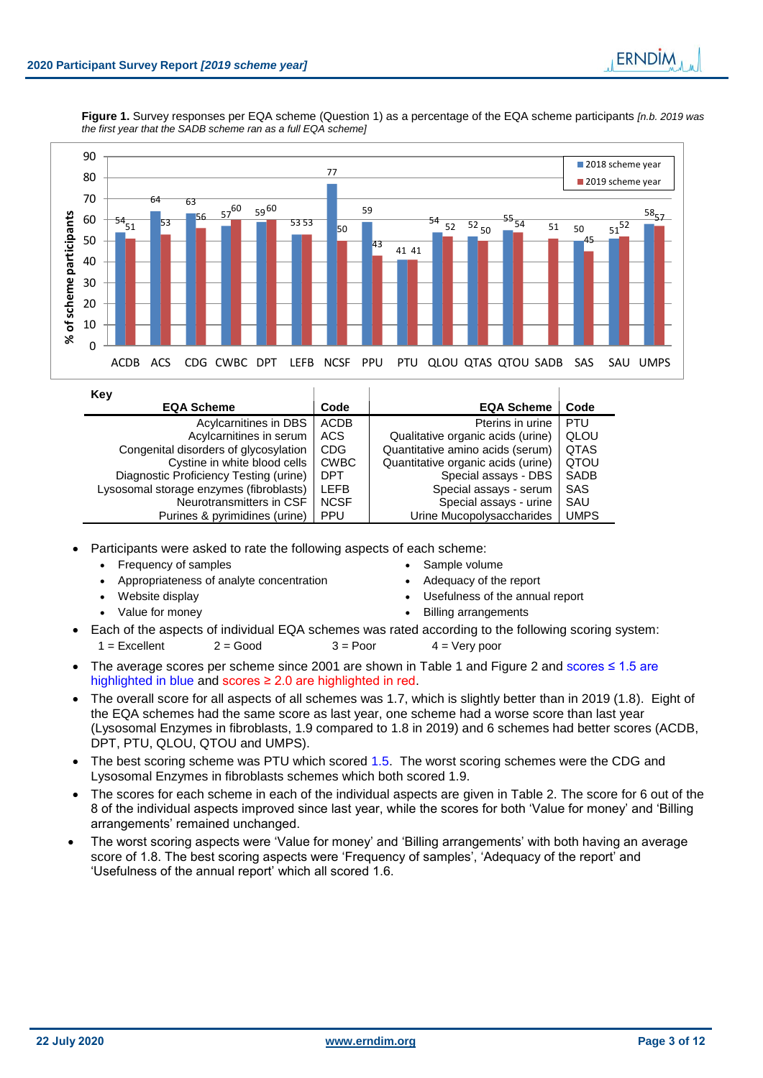**Figure 1.** Survey responses per EQA scheme (Question 1) as a percentage of the EQA scheme participants *[n.b. 2019 was the first year that the SADB scheme ran as a full EQA scheme]*



| Key                                     |             |                                    |             |
|-----------------------------------------|-------------|------------------------------------|-------------|
| <b>EQA Scheme</b>                       | Code        | <b>EQA Scheme</b>                  | Code        |
| Acylcarnitines in DBS                   | <b>ACDB</b> | Pterins in urine                   | <b>PTU</b>  |
| Acylcarnitines in serum                 | ACS         | Qualitative organic acids (urine)  | QLOU        |
| Congenital disorders of glycosylation   | <b>CDG</b>  | Quantitative amino acids (serum)   | <b>QTAS</b> |
| Cystine in white blood cells            | <b>CWBC</b> | Quantitative organic acids (urine) | <b>QTOU</b> |
| Diagnostic Proficiency Testing (urine)  | <b>DPT</b>  | Special assays - DBS               | SADB        |
| Lysosomal storage enzymes (fibroblasts) | <b>LEFB</b> | Special assays - serum             | SAS         |
| Neurotransmitters in CSF                | <b>NCSF</b> | Special assays - urine             | SAU         |
| Purines & pyrimidines (urine)           | <b>PPU</b>  | Urine Mucopolysaccharides          | <b>UMPS</b> |

Participants were asked to rate the following aspects of each scheme:

- Frequency of samples **SAMP SAMP SAMP SAMP SAMP SAMP SAMP SAMP SAMP SAMP SAMP SAMP SAMP CONT**
- Appropriateness of analyte concentration Adequacy of the report
- 
- 
- 
- Website display **Website display Website display**
- Value for money **Billing arrangements**
- Each of the aspects of individual EQA schemes was rated according to the following scoring system:  $1 =$  Excellent  $2 =$  Good  $3 =$  Poor  $4 =$  Very poor
- The average scores per scheme since 2001 are shown in Table 1 and Figure 2 and scores ≤ 1.5 are highlighted in blue and scores ≥ 2.0 are highlighted in red.
- The overall score for all aspects of all schemes was 1.7, which is slightly better than in 2019 (1.8). Eight of the EQA schemes had the same score as last year, one scheme had a worse score than last year (Lysosomal Enzymes in fibroblasts, 1.9 compared to 1.8 in 2019) and 6 schemes had better scores (ACDB, DPT, PTU, QLOU, QTOU and UMPS).
- The best scoring scheme was PTU which scored 1.5. The worst scoring schemes were the CDG and Lysosomal Enzymes in fibroblasts schemes which both scored 1.9.
- The scores for each scheme in each of the individual aspects are given in Table 2. The score for 6 out of the 8 of the individual aspects improved since last year, while the scores for both 'Value for money' and 'Billing arrangements' remained unchanged.
- The worst scoring aspects were 'Value for money' and 'Billing arrangements' with both having an average score of 1.8. The best scoring aspects were 'Frequency of samples', 'Adequacy of the report' and 'Usefulness of the annual report' which all scored 1.6.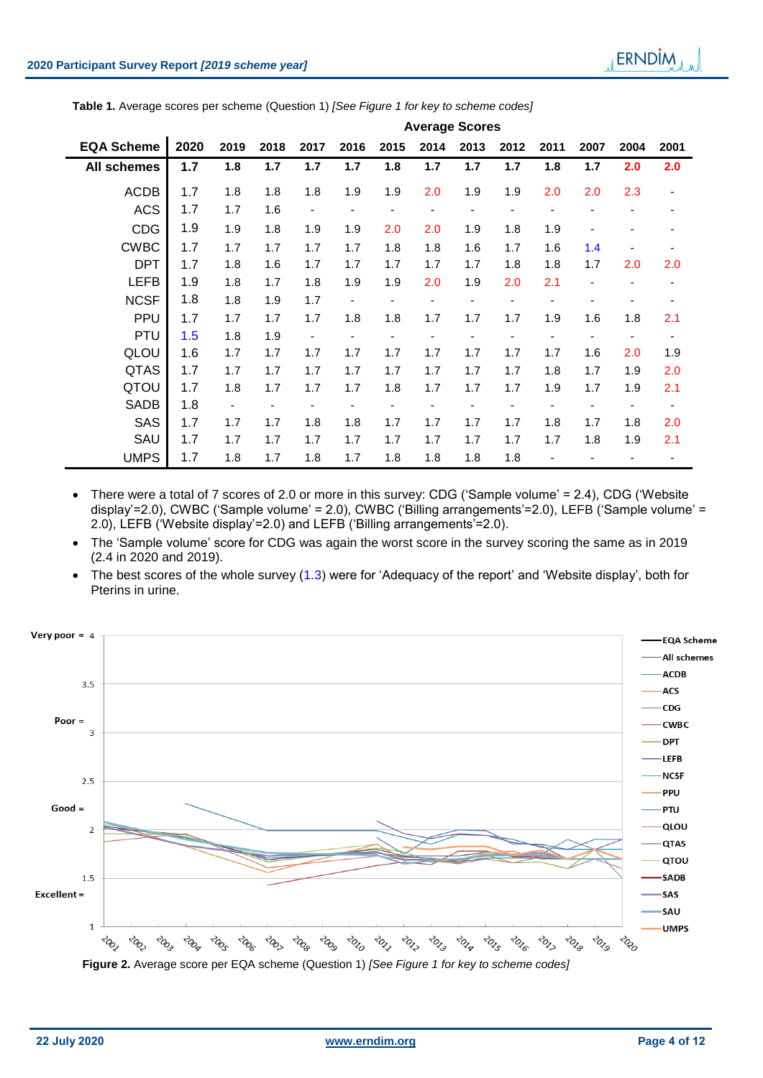| Table 1. Average scores per scheme (Question 1) [See Figure 1 for key to scheme codes] |  |  |
|----------------------------------------------------------------------------------------|--|--|
|----------------------------------------------------------------------------------------|--|--|

|                    | <b>Average Scores</b> |                          |      |                              |                          |      |      |                              |      |      |      |      |                          |
|--------------------|-----------------------|--------------------------|------|------------------------------|--------------------------|------|------|------------------------------|------|------|------|------|--------------------------|
| <b>EQA Scheme</b>  | 2020                  | 2019                     | 2018 | 2017                         | 2016                     | 2015 | 2014 | 2013                         | 2012 | 2011 | 2007 | 2004 | 2001                     |
| <b>All schemes</b> | 1.7                   | 1.8                      | 1.7  | 1.7                          | 1.7                      | 1.8  | 1.7  | 1.7                          | 1.7  | 1.8  | 1.7  | 2.0  | 2.0                      |
| <b>ACDB</b>        | 1.7                   | 1.8                      | 1.8  | 1.8                          | 1.9                      | 1.9  | 2.0  | 1.9                          | 1.9  | 2.0  | 2.0  | 2.3  |                          |
| <b>ACS</b>         | 1.7                   | 1.7                      | 1.6  | $\overline{\phantom{a}}$     |                          |      |      | $\qquad \qquad \blacksquare$ |      |      |      |      |                          |
| <b>CDG</b>         | 1.9                   | 1.9                      | 1.8  | 1.9                          | 1.9                      | 2.0  | 2.0  | 1.9                          | 1.8  | 1.9  |      |      |                          |
| <b>CWBC</b>        | 1.7                   | 1.7                      | 1.7  | 1.7                          | 1.7                      | 1.8  | 1.8  | 1.6                          | 1.7  | 1.6  | 1.4  |      |                          |
| <b>DPT</b>         | 1.7                   | 1.8                      | 1.6  | 1.7                          | 1.7                      | 1.7  | 1.7  | 1.7                          | 1.8  | 1.8  | 1.7  | 2.0  | 2.0                      |
| <b>LEFB</b>        | 1.9                   | 1.8                      | 1.7  | 1.8                          | 1.9                      | 1.9  | 2.0  | 1.9                          | 2.0  | 2.1  |      | ۰    | ٠                        |
| <b>NCSF</b>        | 1.8                   | 1.8                      | 1.9  | 1.7                          | $\overline{\phantom{a}}$ |      |      | $\qquad \qquad \blacksquare$ |      | ۰    |      |      | ٠                        |
| <b>PPU</b>         | 1.7                   | 1.7                      | 1.7  | 1.7                          | 1.8                      | 1.8  | 1.7  | 1.7                          | 1.7  | 1.9  | 1.6  | 1.8  | 2.1                      |
| <b>PTU</b>         | 1.5                   | 1.8                      | 1.9  | $\qquad \qquad \blacksquare$ | -                        |      |      |                              |      |      |      |      |                          |
| QLOU               | 1.6                   | 1.7                      | 1.7  | 1.7                          | 1.7                      | 1.7  | 1.7  | 1.7                          | 1.7  | 1.7  | 1.6  | 2.0  | 1.9                      |
| QTAS               | 1.7                   | 1.7                      | 1.7  | 1.7                          | 1.7                      | 1.7  | 1.7  | 1.7                          | 1.7  | 1.8  | 1.7  | 1.9  | 2.0                      |
| QTOU               | 1.7                   | 1.8                      | 1.7  | 1.7                          | 1.7                      | 1.8  | 1.7  | 1.7                          | 1.7  | 1.9  | 1.7  | 1.9  | 2.1                      |
| <b>SADB</b>        | 1.8                   | $\overline{\phantom{0}}$ |      |                              |                          |      |      |                              |      |      |      | -    | $\overline{\phantom{a}}$ |
| <b>SAS</b>         | 1.7                   | 1.7                      | 1.7  | 1.8                          | 1.8                      | 1.7  | 1.7  | 1.7                          | 1.7  | 1.8  | 1.7  | 1.8  | 2.0                      |
| SAU                | 1.7                   | 1.7                      | 1.7  | 1.7                          | 1.7                      | 1.7  | 1.7  | 1.7                          | 1.7  | 1.7  | 1.8  | 1.9  | 2.1                      |
| <b>UMPS</b>        | 1.7                   | 1.8                      | 1.7  | 1.8                          | 1.7                      | 1.8  | 1.8  | 1.8                          | 1.8  |      |      |      |                          |

 There were a total of 7 scores of 2.0 or more in this survey: CDG ('Sample volume' = 2.4), CDG ('Website display'=2.0), CWBC ('Sample volume' = 2.0), CWBC ('Billing arrangements'=2.0), LEFB ('Sample volume' = 2.0), LEFB ('Website display'=2.0) and LEFB ('Billing arrangements'=2.0).

 The 'Sample volume' score for CDG was again the worst score in the survey scoring the same as in 2019 (2.4 in 2020 and 2019).

• The best scores of the whole survey (1.3) were for 'Adequacy of the report' and 'Website display', both for Pterins in urine.

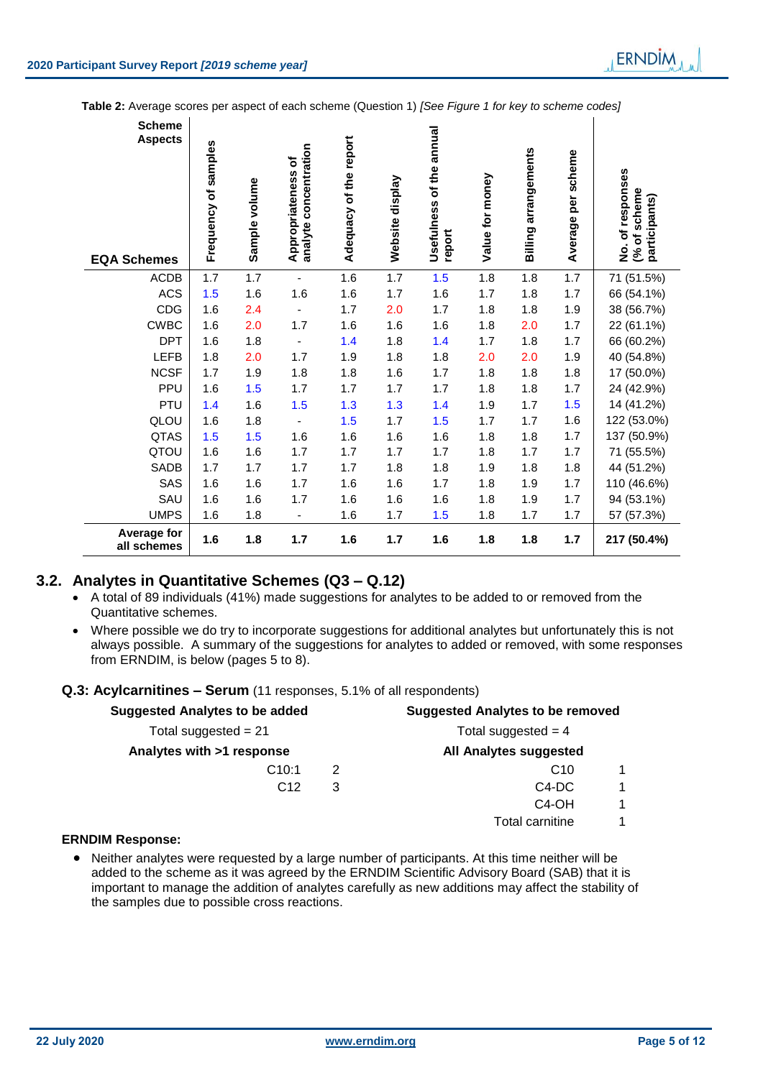**Table 2:** Average scores per aspect of each scheme (Question 1) *[See Figure 1 for key to scheme codes]*

| <b>Scheme</b><br><b>Aspects</b><br><b>EQA Schemes</b> | Frequency of samples | Sample volume | analyte concentration<br>Appropriateness of | Adequacy of the report | Website display | Usefulness of the annual<br>report | Value for money | <b>Billing arrangements</b> | scheme<br>per<br>Average | No. of responses<br>(% of scheme<br>participants) |
|-------------------------------------------------------|----------------------|---------------|---------------------------------------------|------------------------|-----------------|------------------------------------|-----------------|-----------------------------|--------------------------|---------------------------------------------------|
| <b>ACDB</b>                                           | 1.7                  | 1.7           | $\blacksquare$                              | 1.6                    | 1.7             | 1.5                                | 1.8             | 1.8                         | 1.7                      | 71 (51.5%)                                        |
| <b>ACS</b>                                            | 1.5                  | 1.6           | 1.6                                         | 1.6                    | 1.7             | 1.6                                | 1.7             | 1.8                         | 1.7                      | 66 (54.1%)                                        |
| CDG                                                   | 1.6                  | 2.4           | $\overline{\phantom{a}}$                    | 1.7                    | 2.0             | 1.7                                | 1.8             | 1.8                         | 1.9                      | 38 (56.7%)                                        |
| <b>CWBC</b>                                           | 1.6                  | 2.0           | 1.7                                         | 1.6                    | 1.6             | 1.6                                | 1.8             | 2.0                         | 1.7                      | 22 (61.1%)                                        |
| <b>DPT</b>                                            | 1.6                  | 1.8           | $\overline{\phantom{a}}$                    | 1.4                    | 1.8             | 1.4                                | 1.7             | 1.8                         | 1.7                      | 66 (60.2%)                                        |
| LEFB                                                  | 1.8                  | 2.0           | 1.7                                         | 1.9                    | 1.8             | 1.8                                | 2.0             | 2.0                         | 1.9                      | 40 (54.8%)                                        |
| <b>NCSF</b>                                           | 1.7                  | 1.9           | 1.8                                         | 1.8                    | 1.6             | 1.7                                | 1.8             | 1.8                         | 1.8                      | 17 (50.0%)                                        |
| PPU                                                   | 1.6                  | 1.5           | 1.7                                         | 1.7                    | 1.7             | 1.7                                | 1.8             | 1.8                         | 1.7                      | 24 (42.9%)                                        |
| PTU                                                   | 1.4                  | 1.6           | 1.5                                         | 1.3                    | 1.3             | 1.4                                | 1.9             | 1.7                         | 1.5                      | 14 (41.2%)                                        |
| QLOU                                                  | 1.6                  | 1.8           | $\overline{\phantom{a}}$                    | 1.5                    | 1.7             | 1.5                                | 1.7             | 1.7                         | 1.6                      | 122 (53.0%)                                       |
| <b>QTAS</b>                                           | 1.5                  | 1.5           | 1.6                                         | 1.6                    | 1.6             | 1.6                                | 1.8             | 1.8                         | 1.7                      | 137 (50.9%)                                       |
| QTOU                                                  | 1.6                  | 1.6           | 1.7                                         | 1.7                    | 1.7             | 1.7                                | 1.8             | 1.7                         | 1.7                      | 71 (55.5%)                                        |
| SADB                                                  | 1.7                  | 1.7           | 1.7                                         | 1.7                    | 1.8             | 1.8                                | 1.9             | 1.8                         | 1.8                      | 44 (51.2%)                                        |
| SAS                                                   | 1.6                  | 1.6           | 1.7                                         | 1.6                    | 1.6             | 1.7                                | 1.8             | 1.9                         | 1.7                      | 110 (46.6%)                                       |
| SAU                                                   | 1.6                  | 1.6           | 1.7                                         | 1.6                    | 1.6             | 1.6                                | 1.8             | 1.9                         | 1.7                      | 94 (53.1%)                                        |
| <b>UMPS</b>                                           | 1.6                  | 1.8           | $\overline{\phantom{0}}$                    | 1.6                    | 1.7             | 1.5                                | 1.8             | 1.7                         | 1.7                      | 57 (57.3%)                                        |
| Average for<br>all schemes                            | 1.6                  | 1.8           | 1.7                                         | 1.6                    | 1.7             | 1.6                                | 1.8             | 1.8                         | 1.7                      | 217 (50.4%)                                       |

# **3.2. Analytes in Quantitative Schemes (Q3 – Q.12)**

- A total of 89 individuals (41%) made suggestions for analytes to be added to or removed from the Quantitative schemes.
- Where possible we do try to incorporate suggestions for additional analytes but unfortunately this is not always possible. A summary of the suggestions for analytes to added or removed, with some responses from ERNDIM, is below (pages 5 to 8).

# **Q.3: Acylcarnitines – Serum** (11 responses, 5.1% of all respondents)

| <b>Suggested Analytes to be added</b> | <b>Suggested Analytes to be removed</b> |                                |  |  |  |
|---------------------------------------|-----------------------------------------|--------------------------------|--|--|--|
| Total suggested $= 21$                | Total suggested $=$ 4                   |                                |  |  |  |
| Analytes with >1 response             |                                         | All Analytes suggested         |  |  |  |
| C10:1                                 | 2                                       | C <sub>10</sub>                |  |  |  |
| C <sub>12</sub>                       | 3                                       | C <sub>4</sub> -D <sub>C</sub> |  |  |  |
|                                       |                                         | C <sub>4</sub> -OH             |  |  |  |
|                                       |                                         | Total carnitine.               |  |  |  |

# **ERNDIM Response:**

• Neither analytes were requested by a large number of participants. At this time neither will be added to the scheme as it was agreed by the ERNDIM Scientific Advisory Board (SAB) that it is important to manage the addition of analytes carefully as new additions may affect the stability of the samples due to possible cross reactions.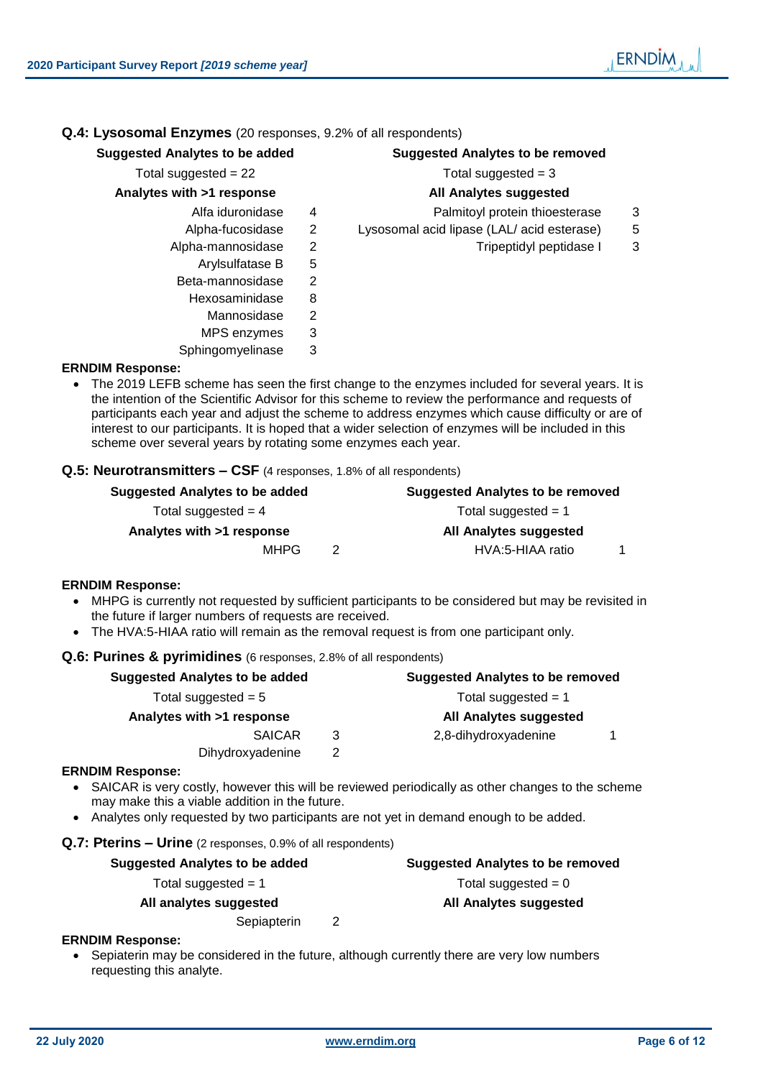# **Q.4: Lysosomal Enzymes** (20 responses, 9.2% of all respondents)

# **Suggested Analytes to be added Suggested Analytes to be removed**

# Total suggested  $= 22$  Total suggested  $= 3$

# **Analytes with >1 response All Analytes suggested**

- 
- 
- 
- Arvisulfatase B 5
- Beta-mannosidase 2
	- Hexosaminidase 8
		- Mannosidase 2
		- MPS enzymes 3
- Sphingomyelinase 3

- Alfa iduronidase 4 Palmitovl protein thioesterase 3
- Alpha-fucosidase 2 Lysosomal acid lipase (LAL/ acid esterase) 5
- Alpha-mannosidase 2 and Tripeptidyl peptidase 1 3

# **ERNDIM Response:**

 The 2019 LEFB scheme has seen the first change to the enzymes included for several years. It is the intention of the Scientific Advisor for this scheme to review the performance and requests of participants each year and adjust the scheme to address enzymes which cause difficulty or are of interest to our participants. It is hoped that a wider selection of enzymes will be included in this scheme over several years by rotating some enzymes each year.

# **Q.5: Neurotransmitters – CSF** (4 responses, 1.8% of all respondents)

| Suggested Analytes to be added | <b>Suggested Analytes to be removed</b> |
|--------------------------------|-----------------------------------------|
| Total suggested $=$ 4          | Total suggested $= 1$                   |
| Analytes with >1 response      | All Analytes suggested                  |
| <b>MHPG</b>                    | HVA:5-HIAA ratio                        |

# **ERNDIM Response:**

- MHPG is currently not requested by sufficient participants to be considered but may be revisited in the future if larger numbers of requests are received.
- The HVA:5-HIAA ratio will remain as the removal request is from one participant only.

# **Q.6: Purines & pyrimidines** (6 responses, 2.8% of all respondents)

| <b>Suggested Analytes to be added</b> | <b>Suggested Analytes to be removed</b> |                               |  |  |  |
|---------------------------------------|-----------------------------------------|-------------------------------|--|--|--|
| Total suggested $= 5$                 | Total suggested $= 1$                   |                               |  |  |  |
| Analytes with >1 response             |                                         | <b>All Analytes suggested</b> |  |  |  |
| <b>SAICAR</b>                         | 3                                       | 2,8-dihydroxyadenine          |  |  |  |
| Dihydroxyadenine                      | 2                                       |                               |  |  |  |
| <b>ERNDIM Response:</b>               |                                         |                               |  |  |  |

- SAICAR is very costly, however this will be reviewed periodically as other changes to the scheme may make this a viable addition in the future.
- Analytes only requested by two participants are not yet in demand enough to be added.

# **Q.7: Pterins – Urine** (2 responses, 0.9% of all respondents)

| Suggested Analytes to be added |   | <b>Suggested Analytes to be removed</b> |
|--------------------------------|---|-----------------------------------------|
| Total suggested $= 1$          |   | Total suggested $= 0$                   |
| All analytes suggested         |   | All Analytes suggested                  |
| Sepiapterin                    | 2 |                                         |
|                                |   |                                         |

# **ERNDIM Response:**

• Sepiaterin may be considered in the future, although currently there are very low numbers requesting this analyte.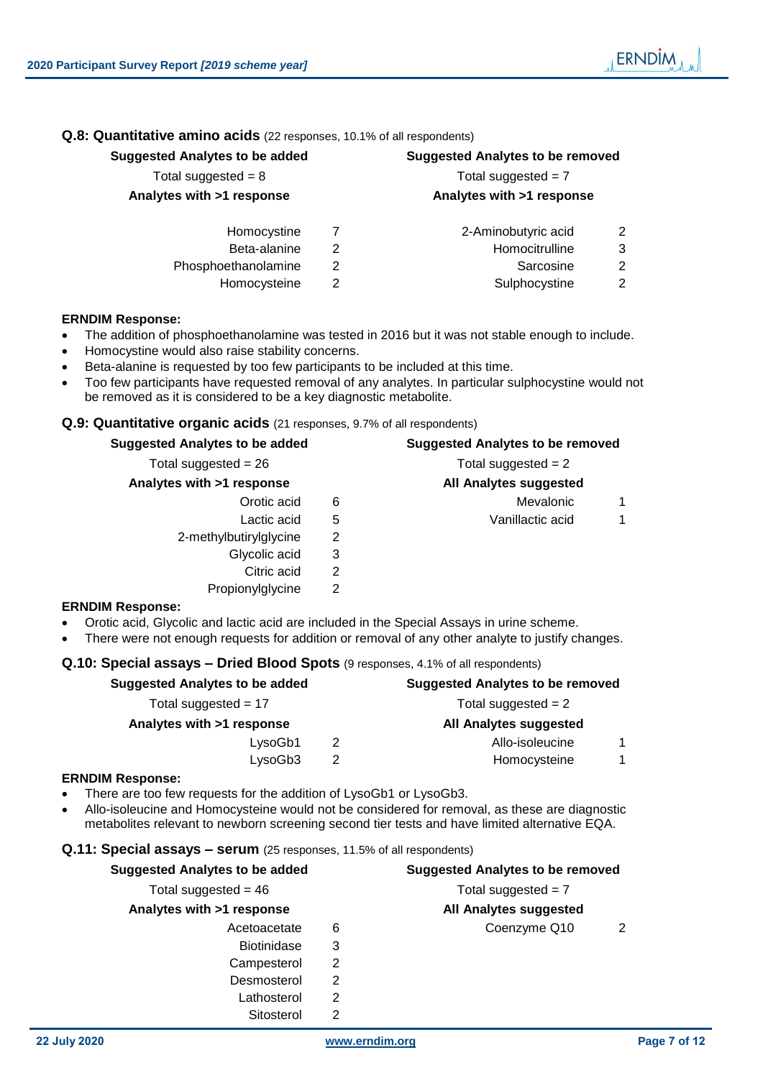# Homocystine 7

- Beta-alanine 2 Homocity
- Phosphoethanolamine 2 Sarcosine 2
	- Homocysteine 2 Sulphocystine 2

# **ERNDIM Response:**

- The addition of phosphoethanolamine was tested in 2016 but it was not stable enough to include.
- Homocystine would also raise stability concerns.
- Beta-alanine is requested by too few participants to be included at this time.
- Too few participants have requested removal of any analytes. In particular sulphocystine would not be removed as it is considered to be a key diagnostic metabolite.

# **Q.9: Quantitative organic acids** (21 responses, 9.7% of all respondents)

# **Suggested Analytes to be added Suggested Analytes to be removed**  $Total suggested = 26$  Total suggested =  $2$ **Analytes with >1 response All Analytes suggested** Orotic acid 6 6 Mevalonic 1 Lactic acid 5 1 2-methylbutirylglycine 2 Glycolic acid 3 Citric acid 2 Propionylglycine 2

# **ERNDIM Response:**

- Orotic acid, Glycolic and lactic acid are included in the Special Assays in urine scheme.
- There were not enough requests for addition or removal of any other analyte to justify changes.

# **Q.10: Special assays – Dried Blood Spots** (9 responses, 4.1% of all respondents)

| <b>Suggested Analytes to be added</b> | <b>Suggested Analytes to be removed</b> |                 |  |  |
|---------------------------------------|-----------------------------------------|-----------------|--|--|
| Total suggested = $17$                | Total suggested $= 2$                   |                 |  |  |
| Analytes with >1 response             | <b>All Analytes suggested</b>           |                 |  |  |
| LysoGb1                               | 2                                       | Allo-isoleucine |  |  |
| LysoGb3                               |                                         | Homocysteine    |  |  |
|                                       |                                         |                 |  |  |

# **ERNDIM Response:**

- There are too few requests for the addition of LysoGb1 or LysoGb3.
- Allo-isoleucine and Homocysteine would not be considered for removal, as these are diagnostic metabolites relevant to newborn screening second tier tests and have limited alternative EQA.

# **Q.11: Special assays – serum** (25 responses, 11.5% of all respondents)

| Total suggested = $46$    |   | Total suggested $= 7$  |  |
|---------------------------|---|------------------------|--|
| Analytes with >1 response |   | All Analytes suggested |  |
| Acetoacetate              | 6 | Coenzyme Q10           |  |
| <b>Biotinidase</b>        | 3 |                        |  |
| Campesterol               |   |                        |  |
| Desmosterol               |   |                        |  |
| Lathosterol               | 2 |                        |  |
| Sitosterol                |   |                        |  |

**Suggested Analytes to be added Suggested Analytes to be removed**

**ERNDIM** 

# Total suggested  $= 8$  Total suggested  $= 7$ **Analytes with >1 response Analytes with >1 response**

| 2-Aminobutyric acid |  |
|---------------------|--|
|---------------------|--|

| omocitrulline                |  |
|------------------------------|--|
| 0 - - - - - <sup>-</sup> - - |  |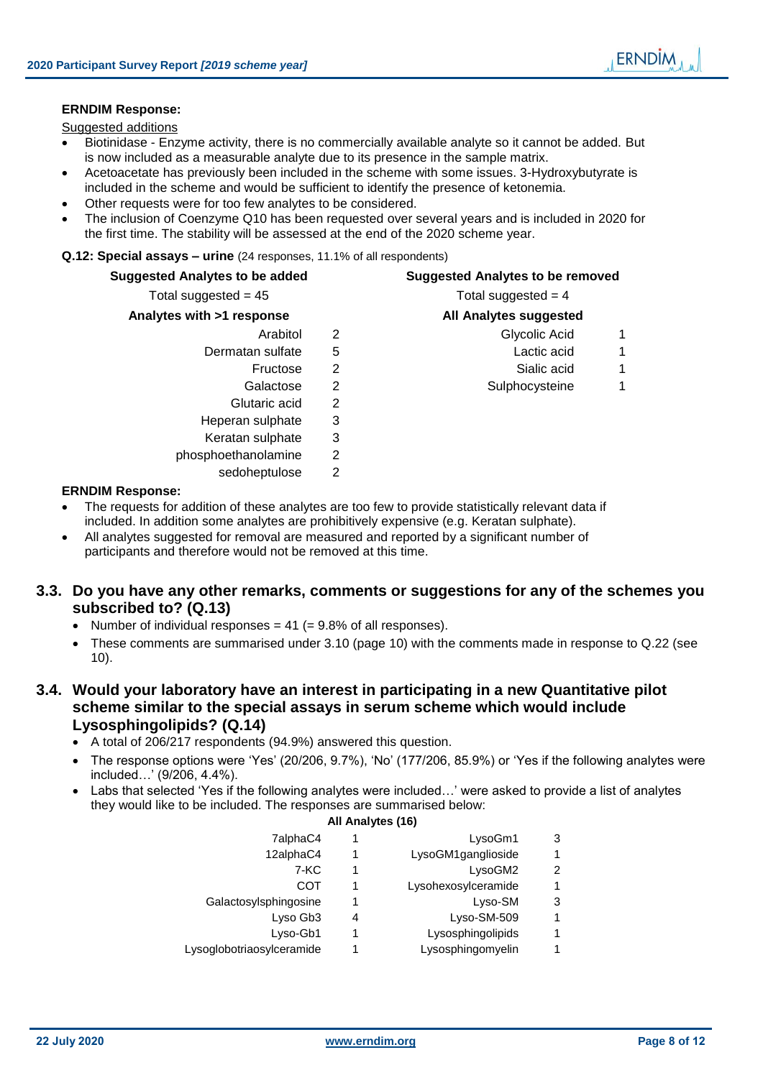# **ERNDIM Response:**

Suggested additions

- Biotinidase Enzyme activity, there is no commercially available analyte so it cannot be added. But is now included as a measurable analyte due to its presence in the sample matrix.
- Acetoacetate has previously been included in the scheme with some issues. 3-Hydroxybutyrate is included in the scheme and would be sufficient to identify the presence of ketonemia.
- Other requests were for too few analytes to be considered.
- The inclusion of Coenzyme Q10 has been requested over several years and is included in 2020 for the first time. The stability will be assessed at the end of the 2020 scheme year.

# **Q.12: Special assays – urine** (24 responses, 11.1% of all respondents)

| <b>Suggested Analytes to be added</b> |                | <b>Suggested Analytes to be removed</b>                                                             |
|---------------------------------------|----------------|-----------------------------------------------------------------------------------------------------|
| Total suggested = $45$                |                | Total suggested $=$ 4                                                                               |
| Analytes with >1 response             |                | All Analytes suggested                                                                              |
| Arabitol                              | 2              | 1<br>Glycolic Acid                                                                                  |
| Dermatan sulfate                      | 5              | Lactic acid<br>1                                                                                    |
| Fructose                              | 2              | Sialic acid<br>1                                                                                    |
| Galactose                             | $\overline{2}$ | Sulphocysteine<br>1                                                                                 |
| Glutaric acid                         | 2              |                                                                                                     |
| Heperan sulphate                      | 3              |                                                                                                     |
| Keratan sulphate                      | 3              |                                                                                                     |
| phosphoethanolamine                   | 2              |                                                                                                     |
| sedoheptulose                         | 2              |                                                                                                     |
| <b>ERNDIM Response:</b>               |                |                                                                                                     |
|                                       |                | The secondary for addition of these completes and the formio mandels atothetically selected data if |

- The requests for addition of these analytes are too few to provide statistically relevant data if included. In addition some analytes are prohibitively expensive (e.g. Keratan sulphate).
- All analytes suggested for removal are measured and reported by a significant number of participants and therefore would not be removed at this time.

# **3.3. Do you have any other remarks, comments or suggestions for any of the schemes you subscribed to? (Q.13)**

- Number of individual responses  $= 41 (= 9.8\%$  of all responses).
- These comments are summarised under [3.10](#page-9-0) (page [10\)](#page-9-0) with the comments made in response to Q.22 (see [10\)](#page-9-0).

# **3.4. Would your laboratory have an interest in participating in a new Quantitative pilot scheme similar to the special assays in serum scheme which would include Lysosphingolipids? (Q.14)**

- A total of 206/217 respondents (94.9%) answered this question.
- The response options were 'Yes' (20/206, 9.7%), 'No' (177/206, 85.9%) or 'Yes if the following analytes were included…' (9/206, 4.4%).
- Labs that selected 'Yes if the following analytes were included…' were asked to provide a list of analytes they would like to be included. The responses are summarised below:

# **All Analytes (16)**

| 7alphaC4                  | 1 | LysoGm1             | 3 |
|---------------------------|---|---------------------|---|
| 12alphaC4                 | 1 | LysoGM1ganglioside  |   |
| 7-KC                      | 1 | LysoGM2             | 2 |
| COT                       | 1 | Lysohexosylceramide |   |
| Galactosylsphingosine     | 1 | Lyso-SM             | 3 |
| Lyso Gb3                  | 4 | Lyso-SM-509         |   |
| Lyso-Gb1                  |   | Lysosphingolipids   |   |
| Lysoglobotriaosylceramide |   | Lysosphingomyelin   |   |
|                           |   |                     |   |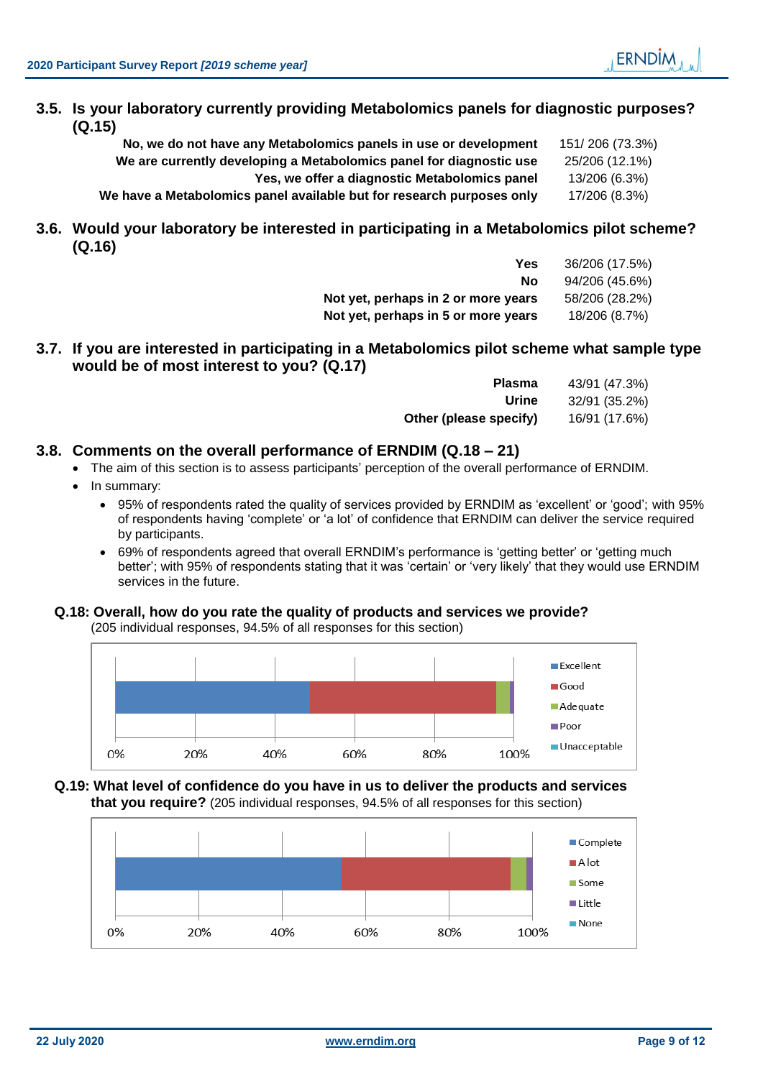# **3.5. Is your laboratory currently providing Metabolomics panels for diagnostic purposes? (Q.15)**

| No, we do not have any Metabolomics panels in use or development      | 151/206 (73.3%) |
|-----------------------------------------------------------------------|-----------------|
| We are currently developing a Metabolomics panel for diagnostic use   | 25/206 (12.1%)  |
| Yes, we offer a diagnostic Metabolomics panel                         | 13/206 (6.3%)   |
| We have a Metabolomics panel available but for research purposes only | 17/206 (8.3%)   |

**3.6. Would your laboratory be interested in participating in a Metabolomics pilot scheme? (Q.16)**

| Yes                                 | 36/206 (17.5%) |
|-------------------------------------|----------------|
| Nο                                  | 94/206 (45.6%) |
| Not yet, perhaps in 2 or more years | 58/206 (28.2%) |
| Not yet, perhaps in 5 or more years | 18/206 (8.7%)  |

**3.7. If you are interested in participating in a Metabolomics pilot scheme what sample type would be of most interest to you? (Q.17)**

| <b>Plasma</b>          | 43/91 (47.3%) |
|------------------------|---------------|
| Urine                  | 32/91 (35.2%) |
| Other (please specify) | 16/91 (17.6%) |

# **3.8. Comments on the overall performance of ERNDIM (Q.18 – 21)**

- The aim of this section is to assess participants' perception of the overall performance of ERNDIM.
	- In summary:
		- 95% of respondents rated the quality of services provided by ERNDIM as 'excellent' or 'good'; with 95% of respondents having 'complete' or 'a lot' of confidence that ERNDIM can deliver the service required by participants.
		- 69% of respondents agreed that overall ERNDIM's performance is 'getting better' or 'getting much better'; with 95% of respondents stating that it was 'certain' or 'very likely' that they would use ERNDIM services in the future.

# **Q.18: Overall, how do you rate the quality of products and services we provide?**

(205 individual responses, 94.5% of all responses for this section)



# **Q.19: What level of confidence do you have in us to deliver the products and services that you require?** (205 individual responses, 94.5% of all responses for this section)

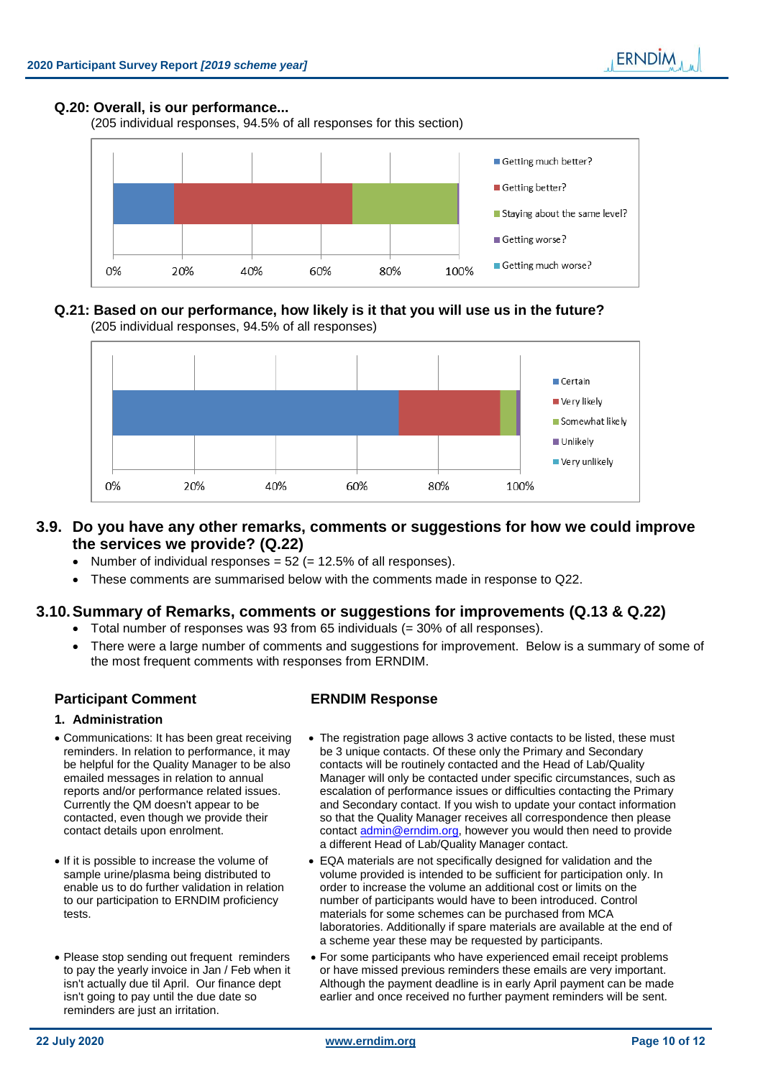# **Q.20: Overall, is our performance...**

(205 individual responses, 94.5% of all responses for this section)



# **Q.21: Based on our performance, how likely is it that you will use us in the future?**  (205 individual responses, 94.5% of all responses)



# **3.9. Do you have any other remarks, comments or suggestions for how we could improve the services we provide? (Q.22)**

- Number of individual responses  $= 52$  ( $= 12.5\%$  of all responses).
- These comments are summarised below with the comments made in response to Q22.

# <span id="page-9-0"></span>**3.10.Summary of Remarks, comments or suggestions for improvements (Q.13 & Q.22)**

- $\bullet$  Total number of responses was 93 from 65 individuals (= 30% of all responses).
- There were a large number of comments and suggestions for improvement. Below is a summary of some of the most frequent comments with responses from ERNDIM.

# **Participant Comment ERNDIM Response**

# **1. Administration**

- Communications: It has been great receiving reminders. In relation to performance, it may be helpful for the Quality Manager to be also emailed messages in relation to annual reports and/or performance related issues. Currently the QM doesn't appear to be contacted, even though we provide their contact details upon enrolment.
- If it is possible to increase the volume of sample urine/plasma being distributed to enable us to do further validation in relation to our participation to ERNDIM proficiency tests.
- Please stop sending out frequent reminders to pay the yearly invoice in Jan / Feb when it isn't actually due til April. Our finance dept isn't going to pay until the due date so reminders are just an irritation.
- The registration page allows 3 active contacts to be listed, these must be 3 unique contacts. Of these only the Primary and Secondary contacts will be routinely contacted and the Head of Lab/Quality Manager will only be contacted under specific circumstances, such as escalation of performance issues or difficulties contacting the Primary and Secondary contact. If you wish to update your contact information so that the Quality Manager receives all correspondence then please contact **admin@erndim.org**, however you would then need to provide a different Head of Lab/Quality Manager contact.
- EQA materials are not specifically designed for validation and the volume provided is intended to be sufficient for participation only. In order to increase the volume an additional cost or limits on the number of participants would have to been introduced. Control materials for some schemes can be purchased from MCA laboratories. Additionally if spare materials are available at the end of a scheme year these may be requested by participants.
- For some participants who have experienced email receipt problems or have missed previous reminders these emails are very important. Although the payment deadline is in early April payment can be made earlier and once received no further payment reminders will be sent.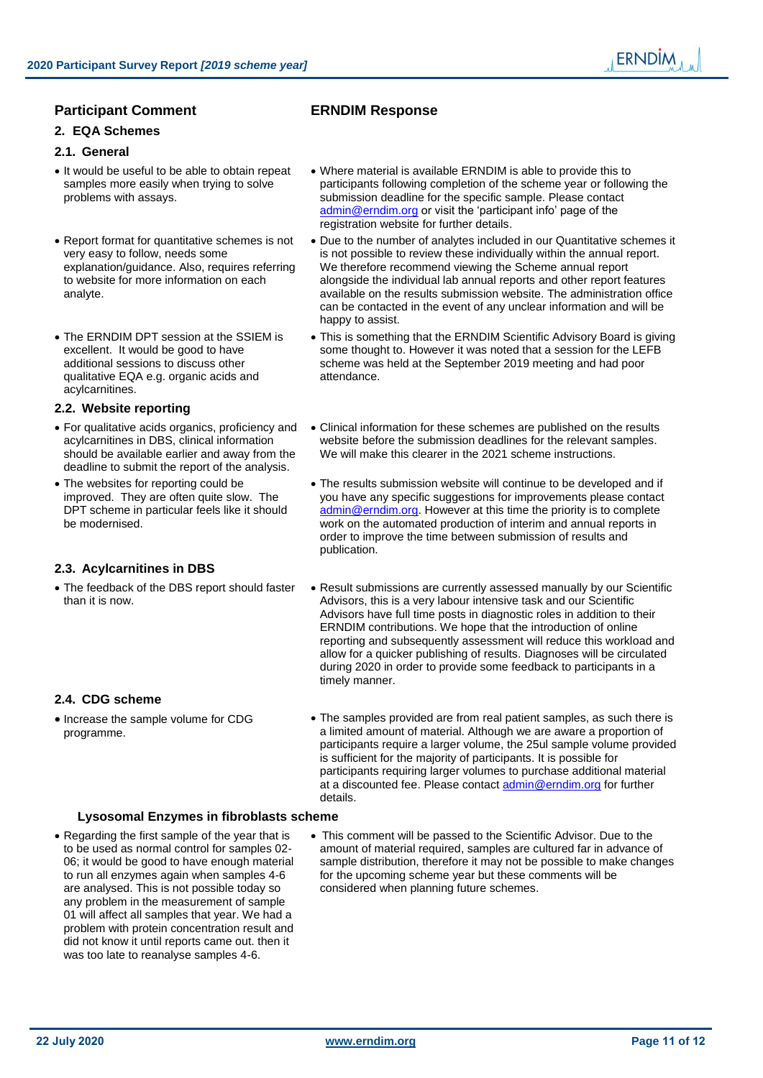# **Participant Comment ERNDIM Response**

**2. EQA Schemes**

# **2.1. General**

- It would be useful to be able to obtain repeat samples more easily when trying to solve problems with assays.
- Report format for quantitative schemes is not very easy to follow, needs some explanation/guidance. Also, requires referring to website for more information on each analyte.
- The ERNDIM DPT session at the SSIEM is excellent. It would be good to have additional sessions to discuss other qualitative EQA e.g. organic acids and acylcarnitines.

# **2.2. Website reporting**

- For qualitative acids organics, proficiency and acylcarnitines in DBS, clinical information should be available earlier and away from the deadline to submit the report of the analysis.
- The websites for reporting could be improved. They are often quite slow. The DPT scheme in particular feels like it should be modernised.

# **2.3. Acylcarnitines in DBS**

 The feedback of the DBS report should faster than it is now.

# **2.4. CDG scheme**

• Increase the sample volume for CDG programme.

- Where material is available ERNDIM is able to provide this to participants following completion of the scheme year or following the submission deadline for the specific sample. Please contact [admin@erndim.org](mailto:admin@erndim.org) or visit the 'participant info' page of the registration website for further details.
- Due to the number of analytes included in our Quantitative schemes it is not possible to review these individually within the annual report. We therefore recommend viewing the Scheme annual report alongside the individual lab annual reports and other report features available on the results submission website. The administration office can be contacted in the event of any unclear information and will be happy to assist.
- This is something that the ERNDIM Scientific Advisory Board is giving some thought to. However it was noted that a session for the LEFB scheme was held at the September 2019 meeting and had poor attendance.
- Clinical information for these schemes are published on the results website before the submission deadlines for the relevant samples. We will make this clearer in the 2021 scheme instructions.
- The results submission website will continue to be developed and if you have any specific suggestions for improvements please contact [admin@erndim.org.](mailto:admin@erndim.org) However at this time the priority is to complete work on the automated production of interim and annual reports in order to improve the time between submission of results and publication.
- Result submissions are currently assessed manually by our Scientific Advisors, this is a very labour intensive task and our Scientific Advisors have full time posts in diagnostic roles in addition to their ERNDIM contributions. We hope that the introduction of online reporting and subsequently assessment will reduce this workload and allow for a quicker publishing of results. Diagnoses will be circulated during 2020 in order to provide some feedback to participants in a timely manner.
- The samples provided are from real patient samples, as such there is a limited amount of material. Although we are aware a proportion of participants require a larger volume, the 25ul sample volume provided is sufficient for the majority of participants. It is possible for participants requiring larger volumes to purchase additional material at a discounted fee. Please contact [admin@erndim.org](mailto:admin@erndim.org) for further details.

# **Lysosomal Enzymes in fibroblasts scheme**

- Regarding the first sample of the year that is to be used as normal control for samples 02- 06; it would be good to have enough material to run all enzymes again when samples 4-6 are analysed. This is not possible today so any problem in the measurement of sample 01 will affect all samples that year. We had a problem with protein concentration result and did not know it until reports came out. then it was too late to reanalyse samples 4-6.
- This comment will be passed to the Scientific Advisor. Due to the amount of material required, samples are cultured far in advance of sample distribution, therefore it may not be possible to make changes for the upcoming scheme year but these comments will be considered when planning future schemes.